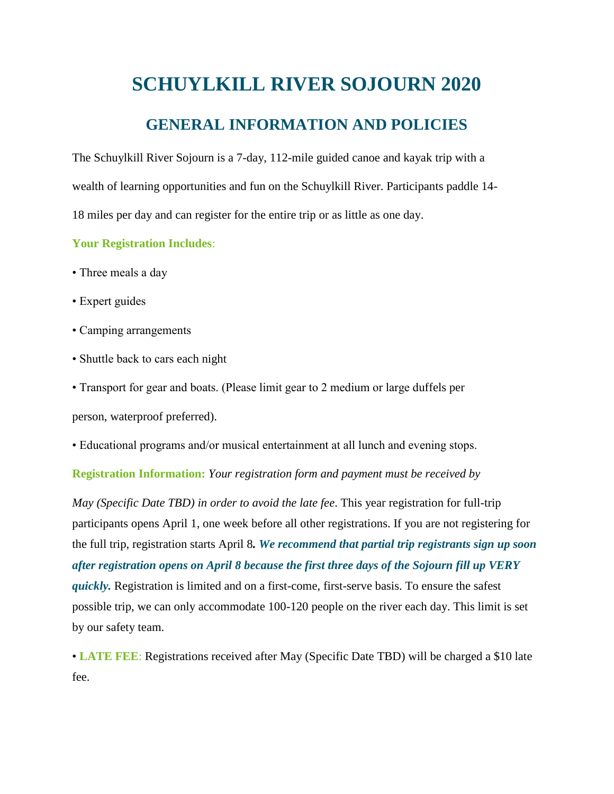# **SCHUYLKILL RIVER SOJOURN 2020**

### **GENERAL INFORMATION AND POLICIES**

The Schuylkill River Sojourn is a 7-day, 112-mile guided canoe and kayak trip with a wealth of learning opportunities and fun on the Schuylkill River. Participants paddle 14- 18 miles per day and can register for the entire trip or as little as one day.

#### **Your Registration Includes**:

- Three meals a day
- Expert guides
- Camping arrangements
- Shuttle back to cars each night
- Transport for gear and boats. (Please limit gear to 2 medium or large duffels per

person, waterproof preferred).

• Educational programs and/or musical entertainment at all lunch and evening stops.

#### **Registration Information:** *Your registration form and payment must be received by*

*May (Specific Date TBD) in order to avoid the late fee*. This year registration for full-trip participants opens April 1, one week before all other registrations. If you are not registering for the full trip, registration starts April 8*. We recommend that partial trip registrants sign up soon after registration opens on April 8 because the first three days of the Sojourn fill up VERY quickly.* Registration is limited and on a first-come, first-serve basis. To ensure the safest possible trip, we can only accommodate 100-120 people on the river each day. This limit is set by our safety team.

• **LATE FEE**: Registrations received after May (Specific Date TBD) will be charged a \$10 late fee.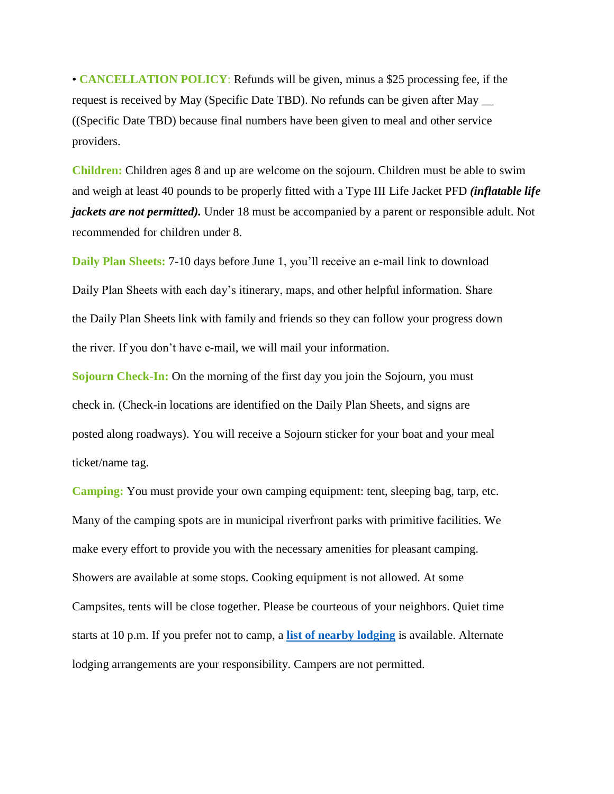• **CANCELLATION POLICY**: Refunds will be given, minus a \$25 processing fee, if the request is received by May (Specific Date TBD). No refunds can be given after May \_\_ ((Specific Date TBD) because final numbers have been given to meal and other service providers.

**Children:** Children ages 8 and up are welcome on the sojourn. Children must be able to swim and weigh at least 40 pounds to be properly fitted with a Type III Life Jacket PFD *(inflatable life jackets are not permitted*). Under 18 must be accompanied by a parent or responsible adult. Not recommended for children under 8.

**Daily Plan Sheets:** 7-10 days before June 1, you'll receive an e-mail link to download Daily Plan Sheets with each day's itinerary, maps, and other helpful information. Share the Daily Plan Sheets link with family and friends so they can follow your progress down the river. If you don't have e-mail, we will mail your information.

**Sojourn Check-In:** On the morning of the first day you join the Sojourn, you must check in. (Check-in locations are identified on the Daily Plan Sheets, and signs are posted along roadways). You will receive a Sojourn sticker for your boat and your meal ticket/name tag.

**Camping:** You must provide your own camping equipment: tent, sleeping bag, tarp, etc. Many of the camping spots are in municipal riverfront parks with primitive facilities. We make every effort to provide you with the necessary amenities for pleasant camping. Showers are available at some stops. Cooking equipment is not allowed. At some Campsites, tents will be close together. Please be courteous of your neighbors. Quiet time starts at 10 p.m. If you prefer not to camp, a **[list of nearby lodging](https://schuylkillriver.org/wp-content/uploads/2019/03/Sojourn-Lodging-Suggestions.pdf)** is available. Alternate lodging arrangements are your responsibility. Campers are not permitted.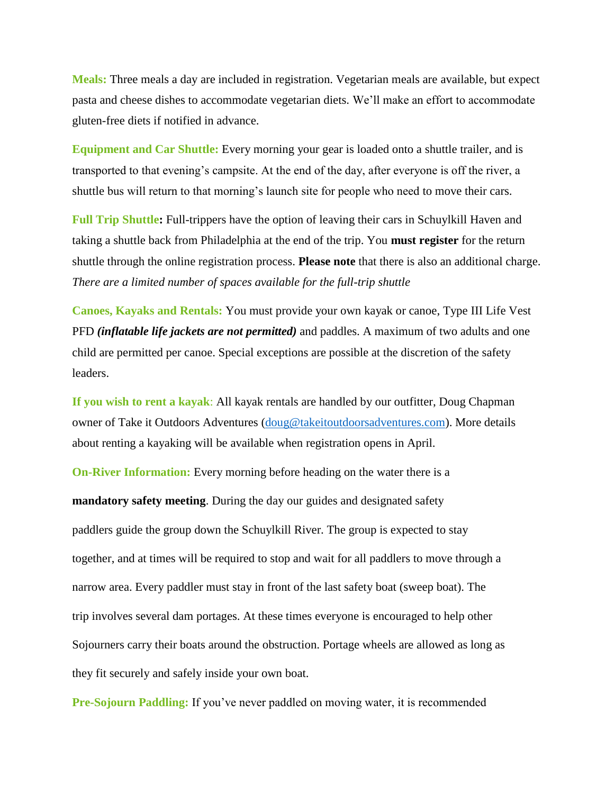**Meals:** Three meals a day are included in registration. Vegetarian meals are available, but expect pasta and cheese dishes to accommodate vegetarian diets. We'll make an effort to accommodate gluten-free diets if notified in advance.

**Equipment and Car Shuttle:** Every morning your gear is loaded onto a shuttle trailer, and is transported to that evening's campsite. At the end of the day, after everyone is off the river, a shuttle bus will return to that morning's launch site for people who need to move their cars.

**Full Trip Shuttle:** Full-trippers have the option of leaving their cars in Schuylkill Haven and taking a shuttle back from Philadelphia at the end of the trip. You **must register** for the return shuttle through the online registration process. **Please note** that there is also an additional charge. *There are a limited number of spaces available for the full-trip shuttle*

**Canoes, Kayaks and Rentals:** You must provide your own kayak or canoe, Type III Life Vest PFD *(inflatable life jackets are not permitted)* and paddles. A maximum of two adults and one child are permitted per canoe. Special exceptions are possible at the discretion of the safety leaders.

**If you wish to rent a kayak**: All kayak rentals are handled by our outfitter, Doug Chapman owner of Take it Outdoors Adventures [\(doug@takeitoutdoorsadventures.com\)](mailto:doug@takeitoutdoorsadventures.com). More details about renting a kayaking will be available when registration opens in April.

**On-River Information:** Every morning before heading on the water there is a

**mandatory safety meeting**. During the day our guides and designated safety paddlers guide the group down the Schuylkill River. The group is expected to stay together, and at times will be required to stop and wait for all paddlers to move through a narrow area. Every paddler must stay in front of the last safety boat (sweep boat). The trip involves several dam portages. At these times everyone is encouraged to help other Sojourners carry their boats around the obstruction. Portage wheels are allowed as long as they fit securely and safely inside your own boat.

**Pre-Sojourn Paddling:** If you've never paddled on moving water, it is recommended